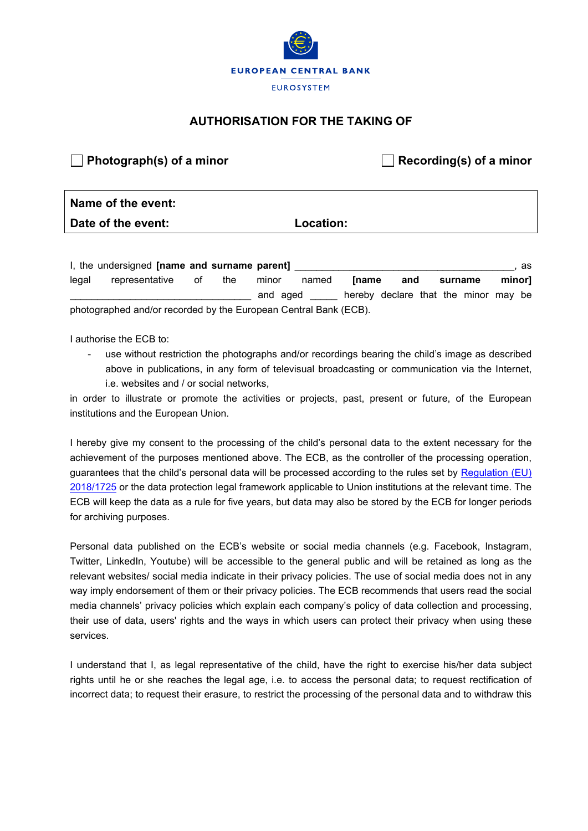

## **AUTHORISATION FOR THE TAKING OF**

## **Photograph(s) of a minor Recording(s) of a minor**

## **Name of the event: Date of the event: Location:**

I, the undersigned **[name and surname parent] Example 20 and 20 and 20 and 20 and 20 and 20 and 20 and 20 and 20 and 20 and 20 and 20 and 20 and 20 and 20 and 20 and 20 and 20 and 20 and 20 and 20 and 20 and 20 and 20 an** legal representative of the minor named **[name and surname minor]** and aged \_\_\_\_\_\_\_ hereby declare that the minor may be photographed and/or recorded by the European Central Bank (ECB).

I authorise the ECB to:

use without restriction the photographs and/or recordings bearing the child's image as described above in publications, in any form of televisual broadcasting or communication via the Internet, i.e. websites and / or social networks,

in order to illustrate or promote the activities or projects, past, present or future, of the European institutions and the European Union.

I hereby give my consent to the processing of the child's personal data to the extent necessary for the achievement of the purposes mentioned above. The ECB, as the controller of the processing operation, guarantees that the child's personal data will be processed according to the rules set by Regulation (EU) [2018/1725](https://eur-lex.europa.eu/legal-content/EN/TXT/?toc=OJ%3AL%3A2018%3A295%3ATOC&uri=uriserv%3AOJ.L_.2018.295.01.0039.01.ENG) or the data protection legal framework applicable to Union institutions at the relevant time. The ECB will keep the data as a rule for five years, but data may also be stored by the ECB for longer periods for archiving purposes.

Personal data published on the ECB's website or social media channels (e.g. Facebook, Instagram, Twitter, LinkedIn, Youtube) will be accessible to the general public and will be retained as long as the relevant websites/ social media indicate in their privacy policies. The use of social media does not in any way imply endorsement of them or their privacy policies. The ECB recommends that users read the social media channels' privacy policies which explain each company's policy of data collection and processing, their use of data, users' rights and the ways in which users can protect their privacy when using these services.

I understand that I, as legal representative of the child, have the right to exercise his/her data subject rights until he or she reaches the legal age, i.e. to access the personal data; to request rectification of incorrect data; to request their erasure, to restrict the processing of the personal data and to withdraw this